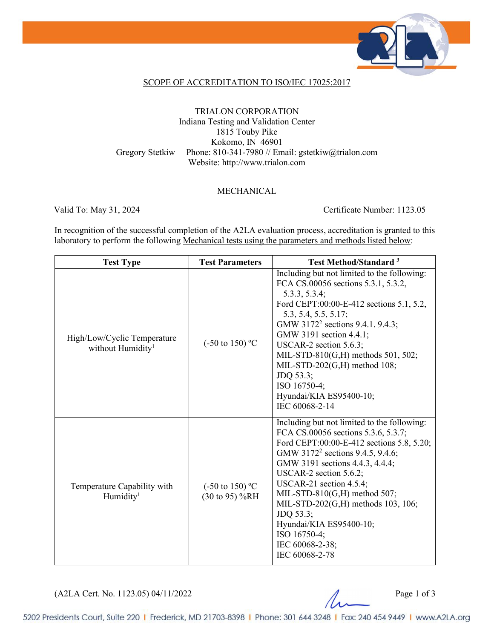

#### SCOPE OF ACCREDITATION TO ISO/IEC 17025:2017

#### TRIALON CORPORATION Indiana Testing and Validation Center 1815 Touby Pike Kokomo, IN 46901 Gregory Stetkiw Phone: 810-341-7980 // Email: gstetkiw@trialon.com Website: http://www.trialon.com

#### MECHANICAL

Valid To: May 31, 2024 Certificate Number: 1123.05

In recognition of the successful completion of the A2LA evaluation process, accreditation is granted to this laboratory to perform the following Mechanical tests using the parameters and methods listed below:

| <b>Test Type</b>                                             | <b>Test Parameters</b>                       | <b>Test Method/Standard</b> <sup>3</sup>                                                                                                                                                                                                                                                                                                                                                                                                      |
|--------------------------------------------------------------|----------------------------------------------|-----------------------------------------------------------------------------------------------------------------------------------------------------------------------------------------------------------------------------------------------------------------------------------------------------------------------------------------------------------------------------------------------------------------------------------------------|
| High/Low/Cyclic Temperature<br>without Humidity <sup>1</sup> | $(-50 \text{ to } 150)$ °C                   | Including but not limited to the following:<br>FCA CS.00056 sections 5.3.1, 5.3.2,<br>5.3.3, 5.3.4;<br>Ford CEPT:00:00-E-412 sections 5.1, 5.2,<br>5.3, 5.4, 5.5, 5.17;<br>GMW 3172 <sup>2</sup> sections 9.4.1. 9.4.3;<br>GMW 3191 section 4.4.1;<br>USCAR-2 section 5.6.3;<br>MIL-STD-810(G,H) methods 501, 502;<br>MIL-STD-202(G,H) method 108;<br>JDQ 53.3;<br>ISO 16750-4;<br>Hyundai/KIA ES95400-10;<br>IEC 60068-2-14                  |
| Temperature Capability with<br>Humidity <sup>1</sup>         | $(-50 \text{ to } 150)$ °C<br>(30 to 95) %RH | Including but not limited to the following:<br>FCA CS.00056 sections 5.3.6, 5.3.7;<br>Ford CEPT:00:00-E-412 sections 5.8, 5.20;<br>GMW 3172 <sup>2</sup> sections 9.4.5, 9.4.6;<br>GMW 3191 sections 4.4.3, 4.4.4;<br>USCAR-2 section 5.6.2;<br>USCAR-21 section $4.5.4$ ;<br>MIL-STD-810(G,H) method 507;<br>MIL-STD-202(G,H) methods 103, 106;<br>JDQ 53.3;<br>Hyundai/KIA ES95400-10;<br>ISO 16750-4;<br>IEC 60068-2-38;<br>IEC 60068-2-78 |

(A2LA Cert. No. 1123.05) 04/11/2022 Page 1 of 3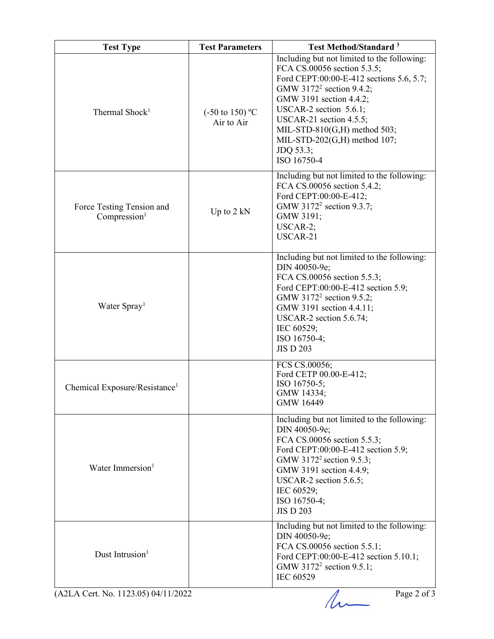| <b>Test Type</b>                                      | <b>Test Parameters</b>                   | <b>Test Method/Standard<sup>3</sup></b>                                                                                                                                                                                                                                                                                                                |
|-------------------------------------------------------|------------------------------------------|--------------------------------------------------------------------------------------------------------------------------------------------------------------------------------------------------------------------------------------------------------------------------------------------------------------------------------------------------------|
| Thermal Shock <sup>1</sup>                            | $(-50 \text{ to } 150)$ °C<br>Air to Air | Including but not limited to the following:<br>FCA CS.00056 section 5.3.5;<br>Ford CEPT:00:00-E-412 sections 5.6, 5.7;<br>GMW 3172 <sup>2</sup> section 9.4.2;<br>GMW 3191 section 4.4.2;<br>USCAR-2 section $5.6.1$ ;<br>USCAR-21 section $4.5.5$ ;<br>MIL-STD-810 $(G,H)$ method 503;<br>MIL-STD-202 $(G,H)$ method 107;<br>JDQ 53.3;<br>ISO 16750-4 |
| Force Testing Tension and<br>Compression <sup>1</sup> | Up to $2$ kN                             | Including but not limited to the following:<br>FCA CS.00056 section 5.4.2;<br>Ford CEPT:00:00-E-412;<br>GMW 3172 <sup>2</sup> section 9.3.7;<br>GMW 3191;<br>USCAR-2;<br>USCAR-21                                                                                                                                                                      |
| Water Spray <sup>1</sup>                              |                                          | Including but not limited to the following:<br>DIN 40050-9e;<br>FCA CS.00056 section 5.5.3;<br>Ford CEPT:00:00-E-412 section 5.9;<br>GMW 3172 <sup>2</sup> section 9.5.2;<br>GMW 3191 section 4.4.11;<br>USCAR-2 section $5.6.74$ ;<br>IEC 60529;<br>ISO 16750-4;<br><b>JIS D 203</b>                                                                  |
| Chemical Exposure/Resistance <sup>1</sup>             |                                          | FCS CS.00056;<br>Ford CETP 00.00-E-412;<br>ISO 16750-5;<br>GMW 14334;<br>GMW 16449                                                                                                                                                                                                                                                                     |
| Water Immersion <sup>1</sup>                          |                                          | Including but not limited to the following:<br>DIN 40050-9e;<br>FCA CS.00056 section 5.5.3;<br>Ford CEPT:00:00-E-412 section 5.9;<br>GMW 3172 <sup>2</sup> section 9.5.3;<br>GMW 3191 section 4.4.9;<br>USCAR-2 section $5.6.5$ ;<br>IEC 60529;<br>ISO 16750-4;<br><b>JIS D 203</b>                                                                    |
| Dust Intrusion <sup>1</sup>                           |                                          | Including but not limited to the following:<br>DIN 40050-9e;<br>FCA CS.00056 section 5.5.1;<br>Ford CEPT:00:00-E-412 section 5.10.1;<br>GMW 3172 <sup>2</sup> section 9.5.1;<br><b>IEC 60529</b>                                                                                                                                                       |
| (A2LA Cert. No. 1123.05) 04/11/2022                   |                                          | Page 2 of 3                                                                                                                                                                                                                                                                                                                                            |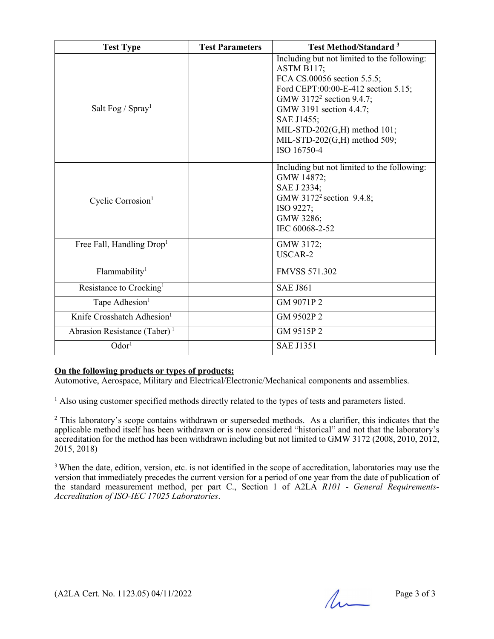| <b>Test Type</b>                         | <b>Test Parameters</b> | <b>Test Method/Standard</b> <sup>3</sup>                                                                                                                                                                                                                                                        |
|------------------------------------------|------------------------|-------------------------------------------------------------------------------------------------------------------------------------------------------------------------------------------------------------------------------------------------------------------------------------------------|
| Salt Fog / $Spray1$                      |                        | Including but not limited to the following:<br>ASTM B117;<br>FCA CS.00056 section 5.5.5;<br>Ford CEPT:00:00-E-412 section 5.15;<br>GMW 3172 <sup>2</sup> section 9.4.7;<br>GMW 3191 section 4.4.7;<br>SAE J1455;<br>MIL-STD-202(G,H) method 101;<br>MIL-STD-202(G,H) method 509;<br>ISO 16750-4 |
| Cyclic Corrosion <sup>1</sup>            |                        | Including but not limited to the following:<br>GMW 14872;<br>SAE J 2334;<br>GMW 3172 <sup>2</sup> section 9.4.8;<br>ISO 9227;<br>GMW 3286;<br>IEC 60068-2-52                                                                                                                                    |
| Free Fall, Handling Drop <sup>1</sup>    |                        | GMW 3172;<br>USCAR-2                                                                                                                                                                                                                                                                            |
| Flammability <sup>1</sup>                |                        | <b>FMVSS 571.302</b>                                                                                                                                                                                                                                                                            |
| Resistance to Crocking <sup>1</sup>      |                        | <b>SAE J861</b>                                                                                                                                                                                                                                                                                 |
| Tape Adhesion <sup>1</sup>               |                        | GM 9071P 2                                                                                                                                                                                                                                                                                      |
| Knife Crosshatch Adhesion <sup>1</sup>   |                        | GM 9502P 2                                                                                                                                                                                                                                                                                      |
| Abrasion Resistance (Taber) <sup>1</sup> |                        | GM 9515P 2                                                                                                                                                                                                                                                                                      |
| Odor <sup>1</sup>                        |                        | <b>SAE J1351</b>                                                                                                                                                                                                                                                                                |

#### **On the following products or types of products:**

Automotive, Aerospace, Military and Electrical/Electronic/Mechanical components and assemblies.

<sup>1</sup> Also using customer specified methods directly related to the types of tests and parameters listed.

 $2$  This laboratory's scope contains withdrawn or superseded methods. As a clarifier, this indicates that the applicable method itself has been withdrawn or is now considered "historical" and not that the laboratory's accreditation for the method has been withdrawn including but not limited to GMW 3172 (2008, 2010, 2012, 2015, 2018)

<sup>3</sup> When the date, edition, version, etc. is not identified in the scope of accreditation, laboratories may use the version that immediately precedes the current version for a period of one year from the date of publication of the standard measurement method, per part C., Section 1 of A2LA *R101 - General Requirements-Accreditation of ISO-IEC 17025 Laboratories*.

 $(A2LA$  Cert. No. 1123.05) 04/11/2022 Page 3 of 3